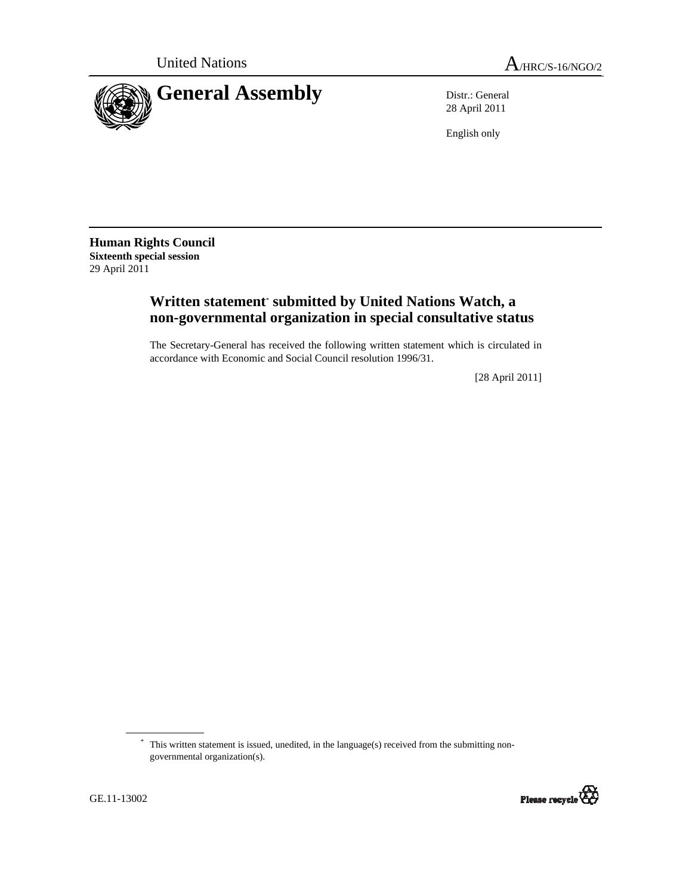

28 April 2011

English only

**Human Rights Council Sixteenth special session**  29 April 2011

# **Written statement**\*  **submitted by United Nations Watch, a non-governmental organization in special consultative status**

The Secretary-General has received the following written statement which is circulated in accordance with Economic and Social Council resolution 1996/31.

[28 April 2011]

<sup>\*</sup> This written statement is issued, unedited, in the language(s) received from the submitting nongovernmental organization(s).

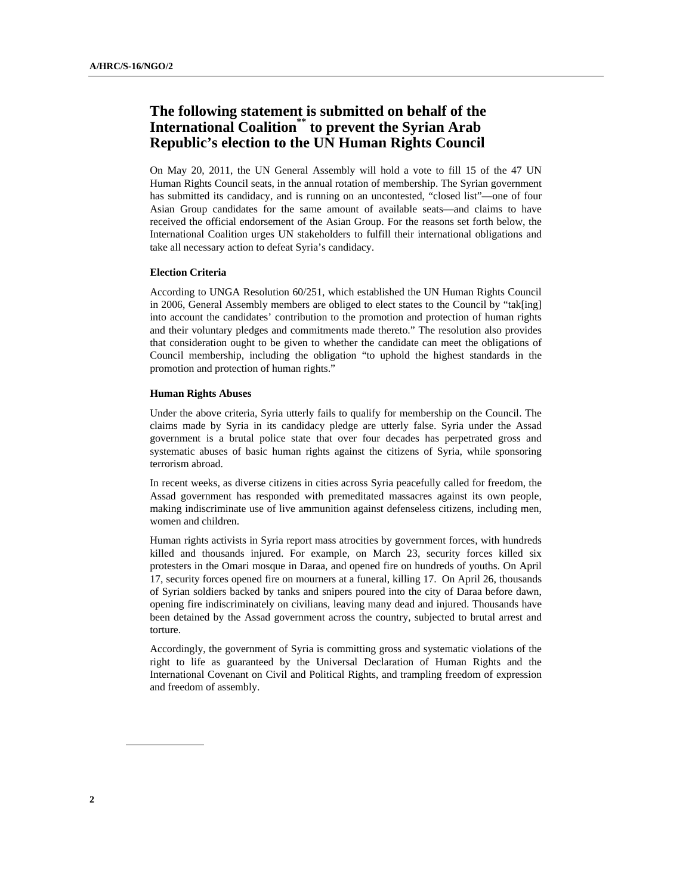# **The following statement is submitted on behalf of the International Coalition\*\* to prevent the Syrian Arab Republic's election to the UN Human Rights Council**

On May 20, 2011, the UN General Assembly will hold a vote to fill 15 of the 47 UN Human Rights Council seats, in the annual rotation of membership. The Syrian government has submitted its candidacy, and is running on an uncontested, "closed list"—one of four Asian Group candidates for the same amount of available seats—and claims to have received the official endorsement of the Asian Group. For the reasons set forth below, the International Coalition urges UN stakeholders to fulfill their international obligations and take all necessary action to defeat Syria's candidacy.

## **Election Criteria**

According to UNGA Resolution 60/251, which established the UN Human Rights Council in 2006, General Assembly members are obliged to elect states to the Council by "tak[ing] into account the candidates' contribution to the promotion and protection of human rights and their voluntary pledges and commitments made thereto." The resolution also provides that consideration ought to be given to whether the candidate can meet the obligations of Council membership, including the obligation "to uphold the highest standards in the promotion and protection of human rights."

### **Human Rights Abuses**

Under the above criteria, Syria utterly fails to qualify for membership on the Council. The claims made by Syria in its candidacy pledge are utterly false. Syria under the Assad government is a brutal police state that over four decades has perpetrated gross and systematic abuses of basic human rights against the citizens of Syria, while sponsoring terrorism abroad.

In recent weeks, as diverse citizens in cities across Syria peacefully called for freedom, the Assad government has responded with premeditated massacres against its own people, making indiscriminate use of live ammunition against defenseless citizens, including men, women and children.

Human rights activists in Syria report mass atrocities by government forces, with hundreds killed and thousands injured. For example, on March 23, security forces killed six protesters in the Omari mosque in Daraa, and opened fire on hundreds of youths. On April 17, security forces opened fire on mourners at a funeral, killing 17. On April 26, thousands of Syrian soldiers backed by tanks and snipers poured into the city of Daraa before dawn, opening fire indiscriminately on civilians, leaving many dead and injured. Thousands have been detained by the Assad government across the country, subjected to brutal arrest and torture.

Accordingly, the government of Syria is committing gross and systematic violations of the right to life as guaranteed by the Universal Declaration of Human Rights and the International Covenant on Civil and Political Rights, and trampling freedom of expression and freedom of assembly.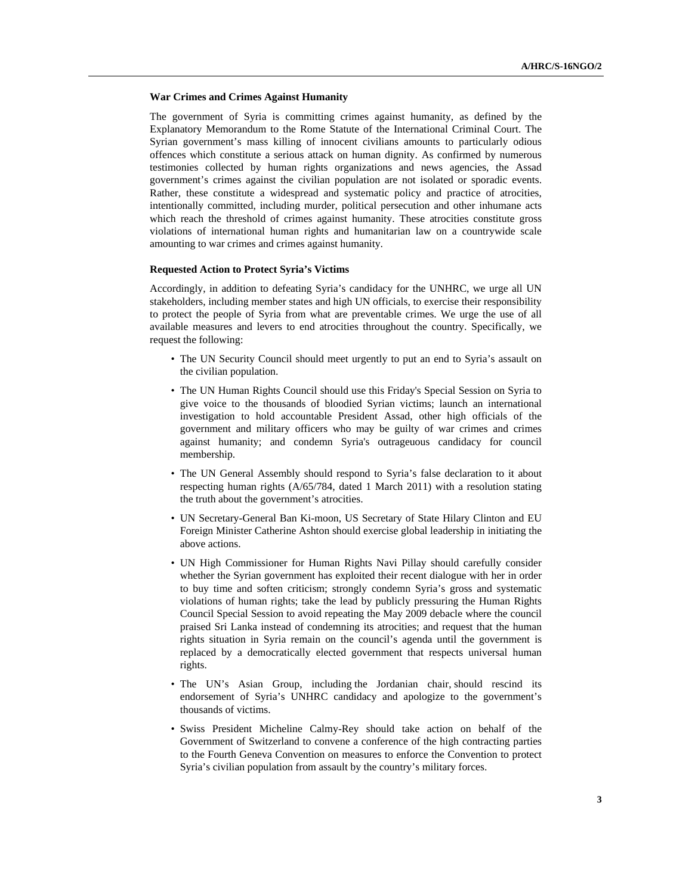#### **War Crimes and Crimes Against Humanity**

The government of Syria is committing crimes against humanity, as defined by the Explanatory Memorandum to the Rome Statute of the International Criminal Court. The Syrian government's mass killing of innocent civilians amounts to particularly odious offences which constitute a serious attack on human dignity. As confirmed by numerous testimonies collected by human rights organizations and news agencies, the Assad government's crimes against the civilian population are not isolated or sporadic events. Rather, these constitute a widespread and systematic policy and practice of atrocities, intentionally committed, including murder, political persecution and other inhumane acts which reach the threshold of crimes against humanity. These atrocities constitute gross violations of international human rights and humanitarian law on a countrywide scale amounting to war crimes and crimes against humanity.

#### **Requested Action to Protect Syria's Victims**

Accordingly, in addition to defeating Syria's candidacy for the UNHRC, we urge all UN stakeholders, including member states and high UN officials, to exercise their responsibility to protect the people of Syria from what are preventable crimes. We urge the use of all available measures and levers to end atrocities throughout the country. Specifically, we request the following:

- The UN Security Council should meet urgently to put an end to Syria's assault on the civilian population.
- The UN Human Rights Council should use this Friday's Special Session on Syria to give voice to the thousands of bloodied Syrian victims; launch an international investigation to hold accountable President Assad, other high officials of the government and military officers who may be guilty of war crimes and crimes against humanity; and condemn Syria's outrageuous candidacy for council membership.
- The UN General Assembly should respond to Syria's false declaration to it about respecting human rights (A/65/784, dated 1 March 2011) with a resolution stating the truth about the government's atrocities.
- UN Secretary-General Ban Ki-moon, US Secretary of State Hilary Clinton and EU Foreign Minister Catherine Ashton should exercise global leadership in initiating the above actions.
- UN High Commissioner for Human Rights Navi Pillay should carefully consider whether the Syrian government has exploited their recent dialogue with her in order to buy time and soften criticism; strongly condemn Syria's gross and systematic violations of human rights; take the lead by publicly pressuring the Human Rights Council Special Session to avoid repeating the May 2009 debacle where the council praised Sri Lanka instead of condemning its atrocities; and request that the human rights situation in Syria remain on the council's agenda until the government is replaced by a democratically elected government that respects universal human rights.
- The UN's Asian Group, including the Jordanian chair, should rescind its endorsement of Syria's UNHRC candidacy and apologize to the government's thousands of victims.
- Swiss President Micheline Calmy-Rey should take action on behalf of the Government of Switzerland to convene a conference of the high contracting parties to the Fourth Geneva Convention on measures to enforce the Convention to protect Syria's civilian population from assault by the country's military forces.